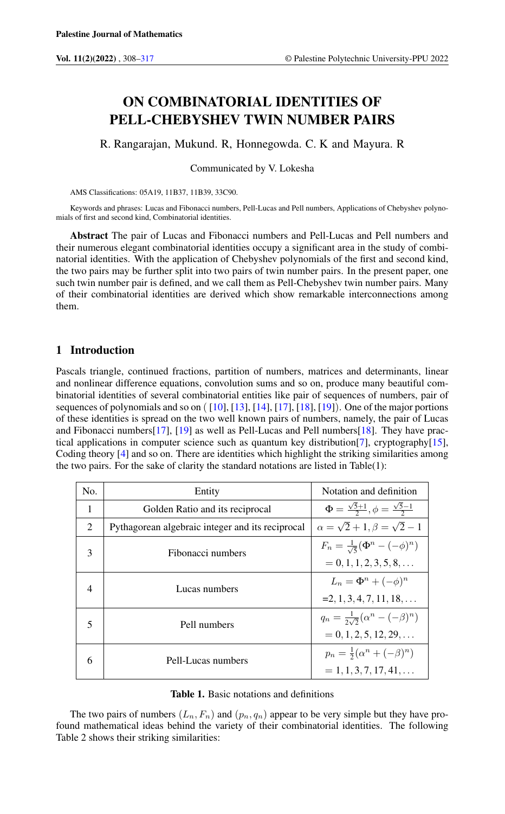# ON COMBINATORIAL IDENTITIES OF PELL-CHEBYSHEV TWIN NUMBER PAIRS

R. Rangarajan, Mukund. R, Honnegowda. C. K and Mayura. R

Communicated by V. Lokesha

AMS Classifications: 05A19, 11B37, 11B39, 33C90.

Keywords and phrases: Lucas and Fibonacci numbers, Pell-Lucas and Pell numbers, Applications of Chebyshev polynomials of first and second kind, Combinatorial identities.

Abstract The pair of Lucas and Fibonacci numbers and Pell-Lucas and Pell numbers and their numerous elegant combinatorial identities occupy a significant area in the study of combinatorial identities. With the application of Chebyshev polynomials of the first and second kind, the two pairs may be further split into two pairs of twin number pairs. In the present paper, one such twin number pair is defined, and we call them as Pell-Chebyshev twin number pairs. Many of their combinatorial identities are derived which show remarkable interconnections among them.

# 1 Introduction

Pascals triangle, continued fractions, partition of numbers, matrices and determinants, linear and nonlinear difference equations, convolution sums and so on, produce many beautiful combinatorial identities of several combinatorial entities like pair of sequences of numbers, pair of sequences of polynomials and so on ( [\[10\]](#page-9-0), [\[13\]](#page-9-1), [\[14\]](#page-9-2), [\[17\]](#page-9-3), [\[18\]](#page-9-4), [\[19\]](#page-9-5)). One of the major portions of these identities is spread on the two well known pairs of numbers, namely, the pair of Lucas and Fibonacci numbers[\[17\]](#page-9-3), [\[19\]](#page-9-5) as well as Pell-Lucas and Pell numbers[\[18\]](#page-9-4). They have practical applications in computer science such as quantum key distribution[\[7\]](#page-9-6), cryptography[\[15\]](#page-9-7), Coding theory [\[4\]](#page-9-8) and so on. There are identities which highlight the striking similarities among the two pairs. For the sake of clarity the standard notations are listed in Table(1):

| No.            | Entity                                           | Notation and definition                                    |
|----------------|--------------------------------------------------|------------------------------------------------------------|
| 1              | Golden Ratio and its reciprocal                  | $\Phi = \frac{\sqrt{5}+1}{2}, \phi = \frac{\sqrt{5}-1}{2}$ |
| $\mathfrak{D}$ | Pythagorean algebraic integer and its reciprocal | $\alpha = \sqrt{2} + 1, \beta = \sqrt{2} - 1$              |
| 3              | Fibonacci numbers                                | $F_n = \frac{1}{\sqrt{5}} (\Phi^n - (-\phi)^n)$            |
|                |                                                  | $= 0, 1, 1, 2, 3, 5, 8, \ldots$                            |
| 4              | Lucas numbers                                    | $L_n = \Phi^n + (-\phi)^n$                                 |
|                |                                                  | $=2, 1, 3, 4, 7, 11, 18, \ldots$                           |
| 5              | Pell numbers                                     | $q_n = \frac{1}{2\sqrt{2}} (\alpha^n - (-\beta)^n)$        |
|                |                                                  | $= 0, 1, 2, 5, 12, 29, \ldots$                             |
| 6              | Pell-Lucas numbers                               | $p_n = \frac{1}{2}(\alpha^n + (-\beta)^n)$                 |
|                |                                                  | $= 1, 1, 3, 7, 17, 41, \ldots$                             |

#### Table 1. Basic notations and definitions

The two pairs of numbers  $(L_n, F_n)$  and  $(p_n, q_n)$  appear to be very simple but they have profound mathematical ideas behind the variety of their combinatorial identities. The following Table 2 shows their striking similarities: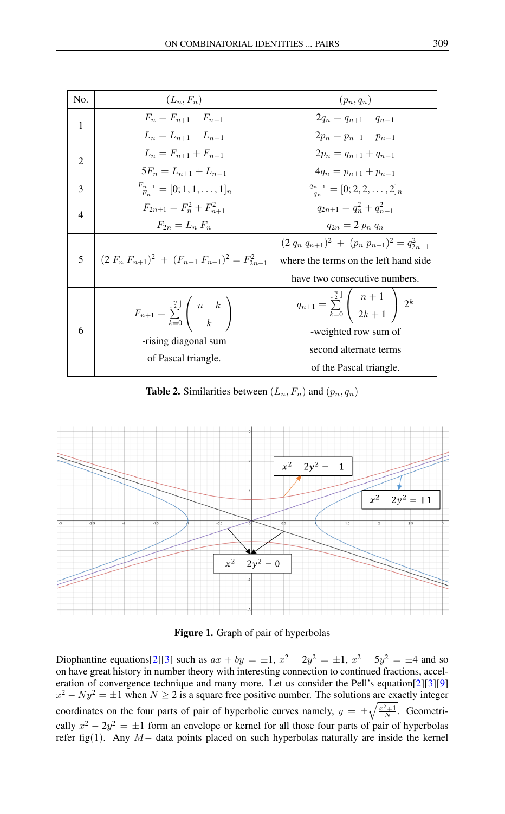| No.            | $(L_n, F_n)$                                                                                                       | $(p_n,q_n)$                                                                |
|----------------|--------------------------------------------------------------------------------------------------------------------|----------------------------------------------------------------------------|
| $\mathbf{1}$   | $F_n = F_{n+1} - F_{n-1}$                                                                                          | $2q_n = q_{n+1} - q_{n-1}$                                                 |
|                | $L_n = L_{n+1} - L_{n-1}$                                                                                          | $2p_n = p_{n+1} - p_{n-1}$                                                 |
| 2              | $L_n = F_{n+1} + F_{n-1}$                                                                                          | $2p_n = q_{n+1} + q_{n-1}$                                                 |
|                | $5F_n = L_{n+1} + L_{n-1}$                                                                                         | $4q_n = p_{n+1} + p_{n-1}$                                                 |
| 3              | $\frac{F_{n-1}}{F_n}=[0;1,1,\ldots,1]_n$                                                                           | $\frac{q_{n-1}}{q_n}=[0;2,2,\ldots,2]_n$                                   |
| $\overline{4}$ | $F_{2n+1} = F_n^2 + F_{n+1}^2$                                                                                     | $q_{2n+1} = q_n^2 + q_{n+1}^2$                                             |
|                | $F_{2n} = L_n F_n$                                                                                                 | $q_{2n} = 2 p_n q_n$                                                       |
| 5 <sup>5</sup> | $\left(2 F_n F_{n+1}^2\right)^2 + (F_{n-1} F_{n+1}^2)^2 = F_{2n+1}^2$                                              | $(2 q_n q_{n+1})^2 + (p_n p_{n+1})^2 = q_{2n+1}^2$                         |
|                |                                                                                                                    | where the terms on the left hand side                                      |
|                |                                                                                                                    | have two consecutive numbers.                                              |
| 6              | $F_{n+1} = \sum_{k=0}^{\lfloor \frac{n}{2} \rfloor} \binom{n-k}{k}$<br>-rising diagonal sum<br>of Pascal triangle. | $q_{n+1} = \sum_{k=0}^{\lfloor \frac{n}{2} \rfloor} \binom{n+1}{2k+1} 2^k$ |
|                |                                                                                                                    | -weighted row sum of                                                       |
|                |                                                                                                                    | second alternate terms                                                     |
|                |                                                                                                                    | of the Pascal triangle.                                                    |

**Table 2.** Similarities between  $(L_n, F_n)$  and  $(p_n, q_n)$ 



Figure 1. Graph of pair of hyperbolas

Diophantine equations [\[2\]](#page-9-9) [\[3\]](#page-9-10) such as  $ax + by = \pm 1$ ,  $x^2 - 2y^2 = \pm 1$ ,  $x^2 - 5y^2 = \pm 4$  and so on have great history in number theory with interesting connection to continued fractions, acceleration of convergence technique and many more. Let us consider the Pell's equation[\[2\]](#page-9-9)[\[3\]](#page-9-10)[\[9\]](#page-9-11)  $x^2 - Ny^2 = \pm 1$  when  $N \ge 2$  is a square free positive number. The solutions are exactly integer coordinates on the four parts of pair of hyperbolic curves namely,  $y = \pm \sqrt{\frac{x^2 \pm 1}{N}}$ . Geometrically  $x^2 - 2y^2 = \pm 1$  form an envelope or kernel for all those four parts of pair of hyperbolas refer fig(1). Any M− data points placed on such hyperbolas naturally are inside the kernel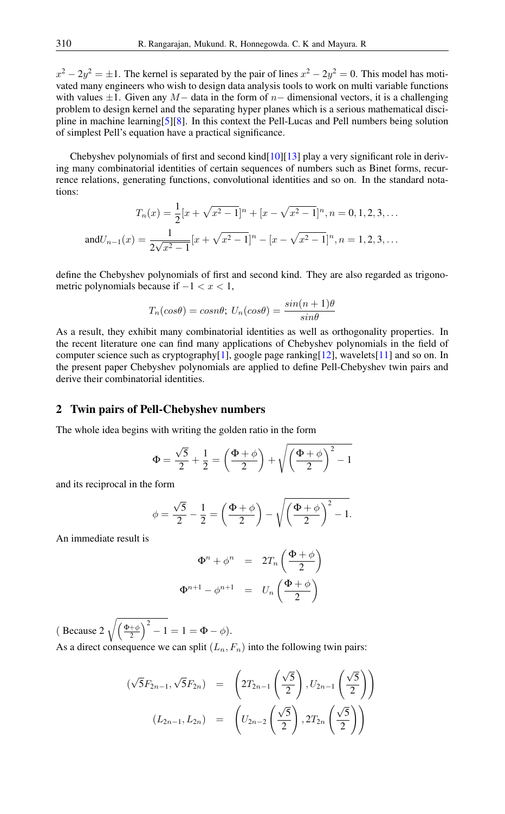$x^2 - 2y^2 = \pm 1$ . The kernel is separated by the pair of lines  $x^2 - 2y^2 = 0$ . This model has motivated many engineers who wish to design data analysis tools to work on multi variable functions with values  $\pm 1$ . Given any M – data in the form of n– dimensional vectors, it is a challenging problem to design kernel and the separating hyper planes which is a serious mathematical discipline in machine learning[\[5\]](#page-9-12)[\[8\]](#page-9-13). In this context the Pell-Lucas and Pell numbers being solution of simplest Pell's equation have a practical significance.

Chebyshev polynomials of first and second kind $[10][13]$  $[10][13]$  play a very significant role in deriving many combinatorial identities of certain sequences of numbers such as Binet forms, recurrence relations, generating functions, convolutional identities and so on. In the standard notations:

$$
T_n(x) = \frac{1}{2} [x + \sqrt{x^2 - 1}]^n + [x - \sqrt{x^2 - 1}]^n, n = 0, 1, 2, 3, ...
$$
  
and
$$
U_{n-1}(x) = \frac{1}{2\sqrt{x^2 - 1}} [x + \sqrt{x^2 - 1}]^n - [x - \sqrt{x^2 - 1}]^n, n = 1, 2, 3, ...
$$

define the Chebyshev polynomials of first and second kind. They are also regarded as trigonometric polynomials because if  $-1 < x < 1$ ,

$$
T_n(cos\theta) = cosn\theta; U_n(cos\theta) = \frac{sin(n+1)\theta}{sin\theta}
$$

As a result, they exhibit many combinatorial identities as well as orthogonality properties. In the recent literature one can find many applications of Chebyshev polynomials in the field of computer science such as cryptography[\[1\]](#page-8-1), google page ranking[\[12\]](#page-9-14), wavelets[\[11\]](#page-9-15) and so on. In the present paper Chebyshev polynomials are applied to define Pell-Chebyshev twin pairs and derive their combinatorial identities.

#### 2 Twin pairs of Pell-Chebyshev numbers

The whole idea begins with writing the golden ratio in the form

$$
\Phi = \frac{\sqrt{5}}{2} + \frac{1}{2} = \left(\frac{\Phi + \phi}{2}\right) + \sqrt{\left(\frac{\Phi + \phi}{2}\right)^2 - 1}
$$

and its reciprocal in the form

$$
\phi = \frac{\sqrt{5}}{2} - \frac{1}{2} = \left(\frac{\Phi + \phi}{2}\right) - \sqrt{\left(\frac{\Phi + \phi}{2}\right)^2 - 1}.
$$

An immediate result is

$$
\Phi^{n} + \phi^{n} = 2T_{n} \left( \frac{\Phi + \phi}{2} \right)
$$

$$
\Phi^{n+1} - \phi^{n+1} = U_{n} \left( \frac{\Phi + \phi}{2} \right)
$$

(Because 2  $\sqrt{\left(\frac{\Phi+\phi}{2}\right)^2 - 1} = 1 = \Phi - \phi$ ). As a direct consequence we can split  $(L_n, F_n)$  into the following twin pairs:

$$
(\sqrt{5}F_{2n-1}, \sqrt{5}F_{2n}) = \left(2T_{2n-1}\left(\frac{\sqrt{5}}{2}\right), U_{2n-1}\left(\frac{\sqrt{5}}{2}\right)\right)
$$

$$
(L_{2n-1}, L_{2n}) = \left(U_{2n-2}\left(\frac{\sqrt{5}}{2}\right), 2T_{2n}\left(\frac{\sqrt{5}}{2}\right)\right)
$$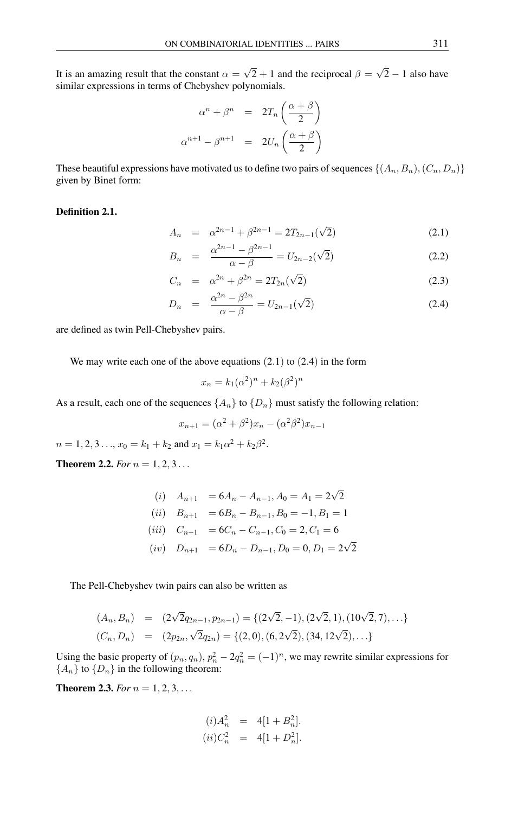It is an amazing result that the constant  $\alpha =$ √  $2 + 1$  and the reciprocal  $\beta =$ √  $2 - 1$  also have similar expressions in terms of Chebyshev polynomials.

$$
\alpha^{n} + \beta^{n} = 2T_{n} \left( \frac{\alpha + \beta}{2} \right)
$$

$$
\alpha^{n+1} - \beta^{n+1} = 2U_{n} \left( \frac{\alpha + \beta}{2} \right)
$$

These beautiful expressions have motivated us to define two pairs of sequences  $\{(A_n, B_n), (C_n, D_n)\}$ given by Binet form:

#### Definition 2.1.

$$
A_n = \alpha^{2n-1} + \beta^{2n-1} = 2T_{2n-1}(\sqrt{2})
$$
\n(2.1)

$$
B_n = \frac{\alpha^{2n-1} - \beta^{2n-1}}{\alpha - \beta} = U_{2n-2}(\sqrt{2})
$$
\n(2.2)

$$
C_n = \alpha^{2n} + \beta^{2n} = 2T_{2n}(\sqrt{2})
$$
\n(2.3)

$$
D_n = \frac{\alpha^{2n} - \beta^{2n}}{\alpha - \beta} = U_{2n-1}(\sqrt{2})
$$
\n(2.4)

are defined as twin Pell-Chebyshev pairs.

We may write each one of the above equations  $(2.1)$  to  $(2.4)$  in the form

$$
x_n = k_1(\alpha^2)^n + k_2(\beta^2)^n
$$

As a result, each one of the sequences  $\{A_n\}$  to  $\{D_n\}$  must satisfy the following relation:

$$
x_{n+1} = (\alpha^2 + \beta^2)x_n - (\alpha^2 \beta^2)x_{n-1}
$$

 $n = 1, 2, 3 \dots, x_0 = k_1 + k_2$  and  $x_1 = k_1 \alpha^2 + k_2 \beta^2$ .

**Theorem 2.2.** *For*  $n = 1, 2, 3...$ 

(i) 
$$
A_{n+1} = 6A_n - A_{n-1}, A_0 = A_1 = 2\sqrt{2}
$$
  
\n(ii)  $B_{n+1} = 6B_n - B_{n-1}, B_0 = -1, B_1 = 1$   
\n(iii)  $C_{n+1} = 6C_n - C_{n-1}, C_0 = 2, C_1 = 6$   
\n(iv)  $D_{n+1} = 6D_n - D_{n-1}, D_0 = 0, D_1 = 2\sqrt{2}$ 

The Pell-Chebyshev twin pairs can also be written as

$$
(A_n, B_n) = (2\sqrt{2}q_{2n-1}, p_{2n-1}) = \{(2\sqrt{2}, -1), (2\sqrt{2}, 1), (10\sqrt{2}, 7), \ldots\}
$$
  

$$
(C_n, D_n) = (2p_{2n}, \sqrt{2}q_{2n}) = \{(2, 0), (6, 2\sqrt{2}), (34, 12\sqrt{2}), \ldots\}
$$

Using the basic property of  $(p_n, q_n)$ ,  $p_n^2 - 2q_n^2 = (-1)^n$ , we may rewrite similar expressions for  ${A_n}$  to  ${D_n}$  in the following theorem:

**Theorem 2.3.** *For*  $n = 1, 2, 3, ...$ 

$$
(i) A_n^2 = 4[1 + B_n^2].
$$
  

$$
(ii) C_n^2 = 4[1 + D_n^2].
$$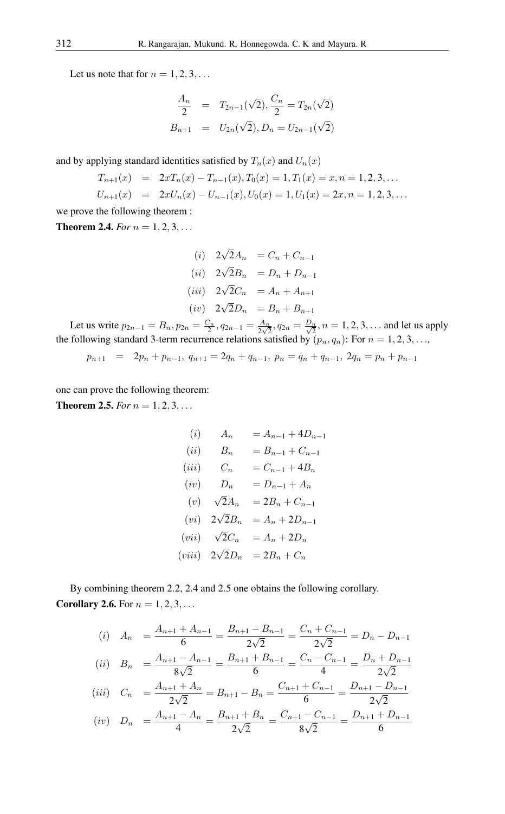Let us note that for  $n = 1, 2, 3, \ldots$ 

$$
\frac{A_n}{2} = T_{2n-1}(\sqrt{2}), \frac{C_n}{2} = T_{2n}(\sqrt{2})
$$
  

$$
B_{n+1} = U_{2n}(\sqrt{2}), D_n = U_{2n-1}(\sqrt{2})
$$

and by applying standard identities satisfied by  $T_n(x)$  and  $U_n(x)$ 

$$
T_{n+1}(x) = 2xT_n(x) - T_{n-1}(x), T_0(x) = 1, T_1(x) = x, n = 1, 2, 3, ...
$$
  
\n
$$
U_{n+1}(x) = 2xU_n(x) - U_{n-1}(x), U_0(x) = 1, U_1(x) = 2x, n = 1, 2, 3, ...
$$

we prove the following theorem :

**Theorem 2.4.** *For*  $n = 1, 2, 3, ...$ 

(i) 
$$
2\sqrt{2}A_n = C_n + C_{n-1}
$$
  
\n(ii)  $2\sqrt{2}B_n = D_n + D_{n-1}$   
\n(iii)  $2\sqrt{2}C_n = A_n + A_{n+1}$   
\n(iv)  $2\sqrt{2}D_n = B_n + B_{n+1}$ 

Let us write  $p_{2n-1} = B_n$ ,  $p_{2n} = \frac{C_n}{2}$ ,  $q_{2n-1} = \frac{A_n}{2\sqrt{2}}$  $\frac{A_n}{2\sqrt{2}}, q_{2n} = \frac{D_n}{\sqrt{2}}, n = 1, 2, 3, ...$  and let us apply the following standard 3-term recurrence relations satisfied by  $(p_n, q_n)$ : For  $n = 1, 2, 3, \ldots$ ,

$$
p_{n+1} = 2p_n + p_{n-1}, q_{n+1} = 2q_n + q_{n-1}, p_n = q_n + q_{n-1}, 2q_n = p_n + p_{n-1}
$$

one can prove the following theorem: **Theorem 2.5.** *For*  $n = 1, 2, 3, ...$ 

(i) 
$$
A_n = A_{n-1} + 4D_{n-1}
$$
  
\n(ii)  $B_n = B_{n-1} + C_{n-1}$   
\n(iii)  $C_n = C_{n-1} + 4B_n$   
\n(iv)  $D_n = D_{n-1} + A_n$   
\n(v)  $\sqrt{2}A_n = 2B_n + C_{n-1}$   
\n(vi)  $2\sqrt{2}B_n = A_n + 2D_{n-1}$   
\n(vii)  $\sqrt{2}C_n = A_n + 2D_n$   
\n(viii)  $2\sqrt{2}D_n = 2B_n + C_n$ 

By combining theorem 2.2, 2.4 and 2.5 one obtains the following corollary. **Corollary 2.6.** For  $n = 1, 2, 3, ...$ 

$$
(i) \quad A_n = \frac{A_{n+1} + A_{n-1}}{6} = \frac{B_{n+1} - B_{n-1}}{2\sqrt{2}} = \frac{C_n + C_{n-1}}{2\sqrt{2}} = D_n - D_{n-1}
$$
\n
$$
(ii) \quad B_n = \frac{A_{n+1} - A_{n-1}}{8\sqrt{2}} = \frac{B_{n+1} + B_{n-1}}{6} = \frac{C_n - C_{n-1}}{4} = \frac{D_n + D_{n-1}}{2\sqrt{2}}
$$
\n
$$
(iii) \quad C_n = \frac{A_{n+1} + A_n}{2\sqrt{2}} = B_{n+1} - B_n = \frac{C_{n+1} + C_{n-1}}{6} = \frac{D_{n+1} - D_{n-1}}{2\sqrt{2}}
$$
\n
$$
(iv) \quad D_n = \frac{A_{n+1} - A_n}{4} = \frac{B_{n+1} + B_n}{2\sqrt{2}} = \frac{C_{n+1} - C_{n-1}}{8\sqrt{2}} = \frac{D_{n+1} + D_{n-1}}{6}
$$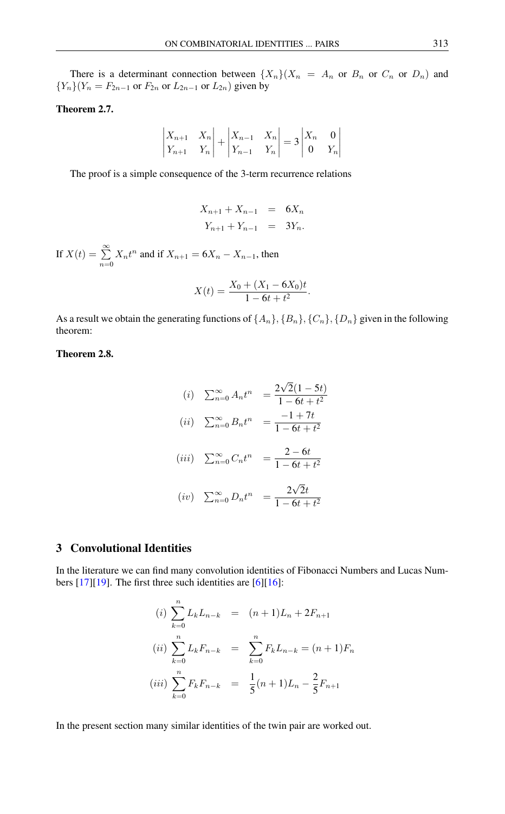There is a determinant connection between  ${X_n}(X_n = A_n$  or  $B_n$  or  $C_n$  or  $D_n$ ) and  ${Y_n}(Y_n = F_{2n-1}$  or  $F_{2n}$  or  $L_{2n-1}$  or  $L_{2n}$ ) given by

## Theorem 2.7.

$$
\begin{vmatrix} X_{n+1} & X_n \ Y_{n+1} & Y_n \end{vmatrix} + \begin{vmatrix} X_{n-1} & X_n \ Y_{n-1} & Y_n \end{vmatrix} = 3 \begin{vmatrix} X_n & 0 \ 0 & Y_n \end{vmatrix}
$$

The proof is a simple consequence of the 3-term recurrence relations

$$
X_{n+1} + X_{n-1} = 6X_n
$$
  

$$
Y_{n+1} + Y_{n-1} = 3Y_n.
$$

If  $X(t) = \sum^{\infty}$  $\sum_{n=0} X_n t^n$  and if  $X_{n+1} = 6X_n - X_{n-1}$ , then

$$
X(t) = \frac{X_0 + (X_1 - 6X_0)t}{1 - 6t + t^2}.
$$

As a result we obtain the generating functions of  $\{A_n\}$ ,  $\{B_n\}$ ,  $\{C_n\}$ ,  $\{D_n\}$  given in the following theorem:

# Theorem 2.8.

(i) 
$$
\sum_{n=0}^{\infty} A_n t^n = \frac{2\sqrt{2}(1-5t)}{1-6t+t^2}
$$
  
\n(ii) 
$$
\sum_{n=0}^{\infty} B_n t^n = \frac{-1+7t}{1-6t+t^2}
$$
  
\n(iii) 
$$
\sum_{n=0}^{\infty} C_n t^n = \frac{2-6t}{1-6t+t^2}
$$
  
\n(iv) 
$$
\sum_{n=0}^{\infty} D_n t^n = \frac{2\sqrt{2}t}{1-6t+t^2}
$$

# 3 Convolutional Identities

In the literature we can find many convolution identities of Fibonacci Numbers and Lucas Numbers  $[17][19]$  $[17][19]$ . The first three such identities are  $[6][16]$  $[6][16]$ :

(i) 
$$
\sum_{k=0}^{n} L_k L_{n-k} = (n+1)L_n + 2F_{n+1}
$$
  
\n(ii) 
$$
\sum_{k=0}^{n} L_k F_{n-k} = \sum_{k=0}^{n} F_k L_{n-k} = (n+1)F_n
$$
  
\n(iii) 
$$
\sum_{k=0}^{n} F_k F_{n-k} = \frac{1}{5}(n+1)L_n - \frac{2}{5}F_{n+1}
$$

In the present section many similar identities of the twin pair are worked out.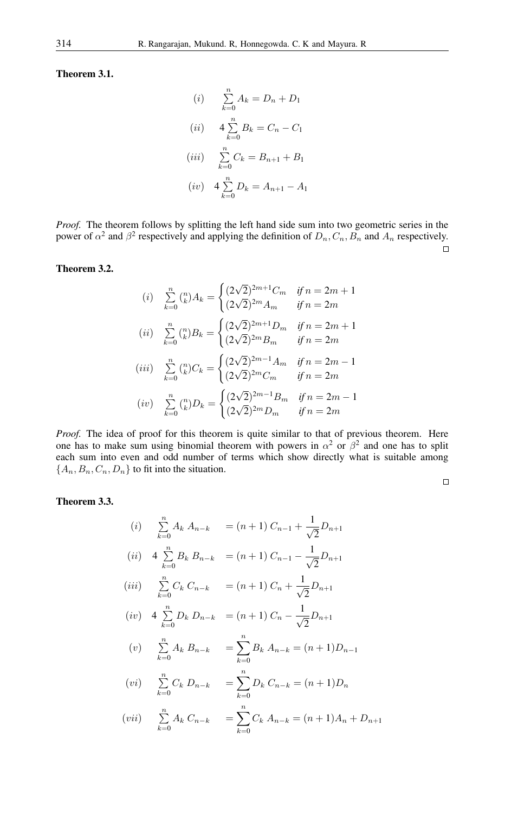Theorem 3.1.

(i) 
$$
\sum_{k=0}^{n} A_k = D_n + D_1
$$
  
\n(ii) 
$$
4 \sum_{k=0}^{n} B_k = C_n - C_1
$$
  
\n(iii) 
$$
\sum_{k=0}^{n} C_k = B_{n+1} + B_1
$$
  
\n(iv) 
$$
4 \sum_{k=0}^{n} D_k = A_{n+1} - A_1
$$

*Proof.* The theorem follows by splitting the left hand side sum into two geometric series in the power of  $\alpha^2$  and  $\beta^2$  respectively and applying the definition of  $D_n, C_n, B_n$  and  $A_n$  respectively.  $\Box$ 

#### Theorem 3.2.

(i) 
$$
\sum_{k=0}^{n} {n \choose k} A_k = \begin{cases} (2\sqrt{2})^{2m+1}C_m & \text{if } n = 2m+1\\ (2\sqrt{2})^{2m}A_m & \text{if } n = 2m \end{cases}
$$
  
\n(ii) 
$$
\sum_{k=0}^{n} {n \choose k} B_k = \begin{cases} (2\sqrt{2})^{2m+1}D_m & \text{if } n = 2m+1\\ (2\sqrt{2})^{2m}B_m & \text{if } n = 2m \end{cases}
$$
  
\n(iii) 
$$
\sum_{k=0}^{n} {n \choose k} C_k = \begin{cases} (2\sqrt{2})^{2m-1}A_m & \text{if } n = 2m-1\\ (2\sqrt{2})^{2m}C_m & \text{if } n = 2m \end{cases}
$$
  
\n(iv) 
$$
\sum_{k=0}^{n} {n \choose k} D_k = \begin{cases} (2\sqrt{2})^{2m-1}B_m & \text{if } n = 2m-1\\ (2\sqrt{2})^{2m}D_m & \text{if } n = 2m \end{cases}
$$

*Proof.* The idea of proof for this theorem is quite similar to that of previous theorem. Here one has to make sum using binomial theorem with powers in  $\alpha^2$  or  $\beta^2$  and one has to split each sum into even and odd number of terms which show directly what is suitable among  ${A_n, B_n, C_n, D_n}$  to fit into the situation.

#### Theorem 3.3.

(i) 
$$
\sum_{k=0}^{n} A_k A_{n-k} = (n+1) C_{n-1} + \frac{1}{\sqrt{2}} D_{n+1}
$$
  
\n(ii) 
$$
4 \sum_{k=0}^{n} B_k B_{n-k} = (n+1) C_{n-1} - \frac{1}{\sqrt{2}} D_{n+1}
$$
  
\n(iii) 
$$
\sum_{k=0}^{n} C_k C_{n-k} = (n+1) C_n + \frac{1}{\sqrt{2}} D_{n+1}
$$
  
\n(iv) 
$$
4 \sum_{k=0}^{n} D_k D_{n-k} = (n+1) C_n - \frac{1}{\sqrt{2}} D_{n+1}
$$
  
\n(v) 
$$
\sum_{k=0}^{n} A_k B_{n-k} = \sum_{k=0}^{n} B_k A_{n-k} = (n+1) D_{n-1}
$$
  
\n(vi) 
$$
\sum_{k=0}^{n} C_k D_{n-k} = \sum_{k=0}^{n} D_k C_{n-k} = (n+1) D_n
$$
  
\n(vii) 
$$
\sum_{k=0}^{n} A_k C_{n-k} = \sum_{k=0}^{n} C_k A_{n-k} = (n+1) A_n + D_{n+1}
$$

 $\Box$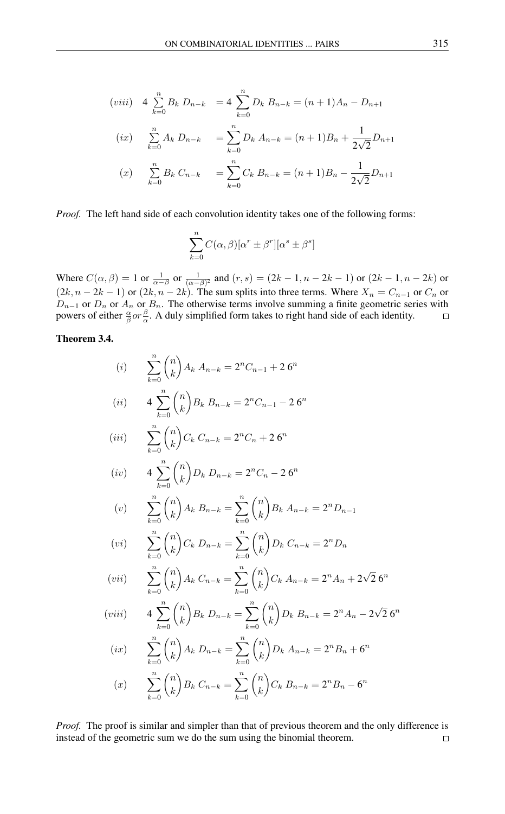$$
(viii) \quad 4 \sum_{k=0}^{n} B_k D_{n-k} = 4 \sum_{k=0}^{n} D_k B_{n-k} = (n+1)A_n - D_{n+1}
$$
\n
$$
(ix) \quad \sum_{k=0}^{n} A_k D_{n-k} = \sum_{k=0}^{n} D_k A_{n-k} = (n+1)B_n + \frac{1}{2\sqrt{2}} D_{n+1}
$$
\n
$$
(x) \quad \sum_{k=0}^{n} B_k C_{n-k} = \sum_{k=0}^{n} C_k B_{n-k} = (n+1)B_n - \frac{1}{2\sqrt{2}} D_{n+1}
$$

*Proof.* The left hand side of each convolution identity takes one of the following forms:

$$
\sum_{k=0}^{n} C(\alpha, \beta) [\alpha^{r} \pm \beta^{r}] [\alpha^{s} \pm \beta^{s}]
$$

Where  $C(\alpha, \beta) = 1$  or  $\frac{1}{\alpha - \beta}$  or  $\frac{1}{(\alpha - \beta)^2}$  and  $(r, s) = (2k - 1, n - 2k - 1)$  or  $(2k - 1, n - 2k)$  or  $(2k, n-2k-1)$  or  $(2k, n-2k)$ . The sum splits into three terms. Where  $X_n = C_{n-1}$  or  $C_n$  or  $D_{n-1}$  or  $D_n$  or  $A_n$  or  $B_n$ . The otherwise terms involve summing a finite geometric series with powers of either  $\frac{\alpha}{\beta}$  or  $\frac{\beta}{\alpha}$ . A duly simplified form takes to right hand side of each identity.

## Theorem 3.4.

(i) 
$$
\sum_{k=0}^{n} {n \choose k} A_k A_{n-k} = 2^n C_{n-1} + 26^n
$$
  
\n(ii) 
$$
4 \sum_{k=0}^{n} {n \choose k} B_k B_{n-k} = 2^n C_{n-1} - 26^n
$$
  
\n(iii) 
$$
\sum_{k=0}^{n} {n \choose k} C_k C_{n-k} = 2^n C_n + 26^n
$$
  
\n(iv) 
$$
4 \sum_{k=0}^{n} {n \choose k} D_k D_{n-k} = 2^n C_n - 26^n
$$
  
\n(v) 
$$
\sum_{k=0}^{n} {n \choose k} A_k B_{n-k} = \sum_{k=0}^{n} {n \choose k} B_k A_{n-k} = 2^n D_{n-1}
$$
  
\n(vi) 
$$
\sum_{k=0}^{n} {n \choose k} C_k D_{n-k} = \sum_{k=0}^{n} {n \choose k} D_k C_{n-k} = 2^n D_n
$$
  
\n(vii) 
$$
\sum_{k=0}^{n} {n \choose k} A_k C_{n-k} = \sum_{k=0}^{n} {n \choose k} C_k A_{n-k} = 2^n A_n + 2\sqrt{2} 6^n
$$
  
\n(viii) 
$$
4 \sum_{k=0}^{n} {n \choose k} B_k D_{n-k} = \sum_{k=0}^{n} {n \choose k} D_k B_{n-k} = 2^n A_n - 2\sqrt{2} 6^n
$$
  
\n(ix) 
$$
\sum_{k=0}^{n} {n \choose k} A_k D_{n-k} = \sum_{k=0}^{n} {n \choose k} D_k A_{n-k} = 2^n B_n + 6^n
$$
  
\n(x) 
$$
\sum_{k=0}^{n} {n \choose k} B_k C_{n-k} = \sum_{k=0}^{n} {n \choose k} C_k B_{n-k} = 2^n B_n - 6^n
$$

*Proof.* The proof is similar and simpler than that of previous theorem and the only difference is instead of the geometric sum we do the sum using the binomial theorem. $\Box$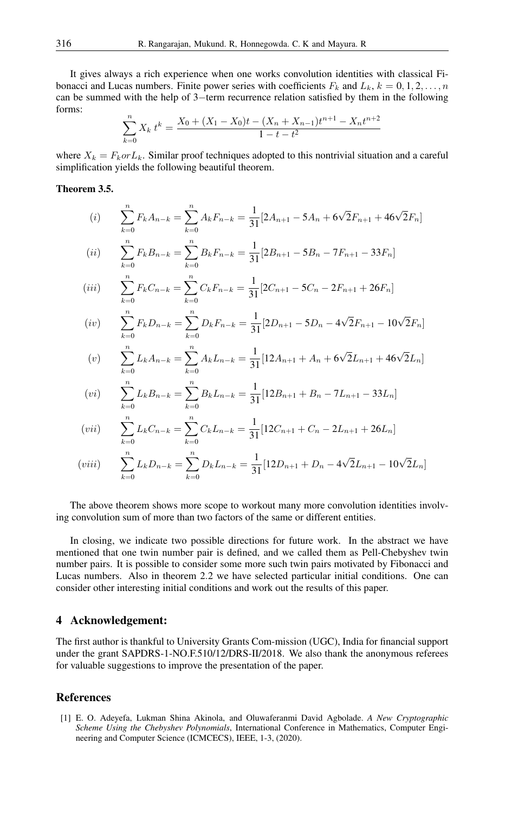It gives always a rich experience when one works convolution identities with classical Fibonacci and Lucas numbers. Finite power series with coefficients  $F_k$  and  $L_k$ ,  $k = 0, 1, 2, \ldots, n$ can be summed with the help of 3−term recurrence relation satisfied by them in the following forms:

$$
\sum_{k=0}^{n} X_k t^k = \frac{X_0 + (X_1 - X_0)t - (X_n + X_{n-1})t^{n+1} - X_nt^{n+2}}{1 - t - t^2}
$$

where  $X_k = F_k \text{ or } L_k$ . Similar proof techniques adopted to this nontrivial situation and a careful simplification yields the following beautiful theorem.

#### Theorem 3.5.

(i) 
$$
\sum_{k=0}^{n} F_k A_{n-k} = \sum_{k=0}^{n} A_k F_{n-k} = \frac{1}{31} [2A_{n+1} - 5A_n + 6\sqrt{2}F_{n+1} + 46\sqrt{2}F_n]
$$
  
\n(ii) 
$$
\sum_{k=0}^{n} F_k B_{n-k} = \sum_{k=0}^{n} B_k F_{n-k} = \frac{1}{31} [2B_{n+1} - 5B_n - 7F_{n+1} - 33F_n]
$$
  
\n(iii) 
$$
\sum_{k=0}^{n} F_k C_{n-k} = \sum_{k=0}^{n} C_k F_{n-k} = \frac{1}{31} [2C_{n+1} - 5C_n - 2F_{n+1} + 26F_n]
$$
  
\n(iv) 
$$
\sum_{k=0}^{n} F_k D_{n-k} = \sum_{k=0}^{n} D_k F_{n-k} = \frac{1}{31} [2D_{n+1} - 5D_n - 4\sqrt{2}F_{n+1} - 10\sqrt{2}F_n]
$$
  
\n(v) 
$$
\sum_{k=0}^{n} L_k A_{n-k} = \sum_{k=0}^{n} A_k L_{n-k} = \frac{1}{31} [12A_{n+1} + A_n + 6\sqrt{2}L_{n+1} + 46\sqrt{2}L_n]
$$
  
\n(vi) 
$$
\sum_{k=0}^{n} L_k B_{n-k} = \sum_{k=0}^{n} B_k L_{n-k} = \frac{1}{31} [12B_{n+1} + B_n - 7L_{n+1} - 33L_n]
$$
  
\n(vii) 
$$
\sum_{k=0}^{n} L_k C_{n-k} = \sum_{k=0}^{n} C_k L_{n-k} = \frac{1}{31} [12C_{n+1} + C_n - 2L_{n+1} + 26L_n]
$$

$$
(viii) \qquad \sum_{k=0}^{n} L_k D_{n-k} = \sum_{k=0}^{n} D_k L_{n-k} = \frac{1}{31} [12D_{n+1} + D_n - 4\sqrt{2}L_{n+1} - 10\sqrt{2}L_n]
$$

The above theorem shows more scope to workout many more convolution identities involving convolution sum of more than two factors of the same or different entities.

In closing, we indicate two possible directions for future work. In the abstract we have mentioned that one twin number pair is defined, and we called them as Pell-Chebyshev twin number pairs. It is possible to consider some more such twin pairs motivated by Fibonacci and Lucas numbers. Also in theorem 2.2 we have selected particular initial conditions. One can consider other interesting initial conditions and work out the results of this paper.

# 4 Acknowledgement:

The first author is thankful to University Grants Com-mission (UGC), India for financial support under the grant SAPDRS-1-NO.F.510/12/DRS-II/2018. We also thank the anonymous referees for valuable suggestions to improve the presentation of the paper.

#### <span id="page-8-0"></span>References

<span id="page-8-1"></span>[1] E. O. Adeyefa, Lukman Shina Akinola, and Oluwaferanmi David Agbolade. *A New Cryptographic Scheme Using the Chebyshev Polynomials*, International Conference in Mathematics, Computer Engineering and Computer Science (ICMCECS), IEEE, 1-3, (2020).